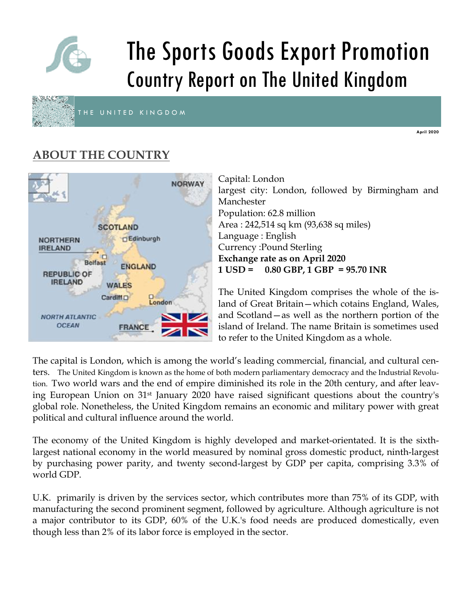

# The Sports Goods Export Promotion Country Report on The United Kingdom



THE UNITED KINGDOM

**April 2020** 

# **ABOUT THE COUNTRY**



Capital: London largest city: London, followed by Birmingham and Manchester Population: 62.8 million Area : 242,514 sq km (93,638 sq miles) Language : English Currency :Pound Sterling **Exchange rate as on April 2020 1 USD = 0.80 GBP, 1 GBP = 95.70 INR** 

The United Kingdom comprises the whole of the island of Great Britain—which cotains England, Wales, and Scotland—as well as the northern portion of the island of Ireland. The name Britain is sometimes used to refer to the United Kingdom as a whole.

The capital is London, which is among the world's leading commercial, financial, and cultural centers. The United Kingdom is known as the home of both modern parliamentary democracy and the Industrial Revolution. Two world wars and the end of empire diminished its role in the 20th century, and after leaving European Union on 31st January 2020 have raised significant questions about the country's global role. Nonetheless, the United Kingdom remains an economic and military power with great political and cultural influence around the world.

The economy of the United Kingdom is highly developed and market-orientated. It is the sixthlargest national economy in the world measured by nominal gross domestic product, ninth-largest by purchasing power parity, and twenty second-largest by GDP per capita, comprising 3.3% of world GDP.

U.K. primarily is driven by the services sector, which contributes more than 75% of its GDP, with manufacturing the second prominent segment, followed by agriculture. Although agriculture is not a major contributor to its GDP, 60% of the U.K.'s food needs are produced domestically, even though less than 2% of its labor force is employed in the sector.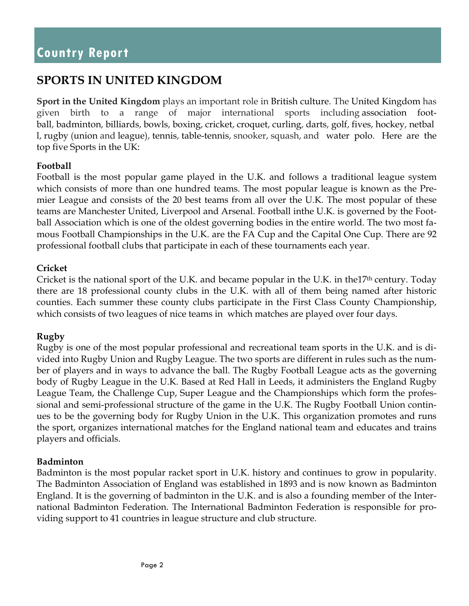## **SPORTS IN UNITED KINGDOM**

**Sport in the United Kingdom** plays an important role in British culture. The United Kingdom has given birth to a range of major international sports including association football, badminton, billiards, bowls, boxing, cricket, croquet, curling, darts, golf, fives, hockey, netbal l, rugby (union and league), tennis, table-tennis, snooker, squash, and water polo. Here are the top five Sports in the UK:

#### **Football**

Football is the most popular game played in the U.K. and follows a traditional league system which consists of more than one hundred teams. The most popular league is known as the Premier League and consists of the 20 best teams from all over the U.K. The most popular of these teams are Manchester United, Liverpool and Arsenal. Football inthe U.K. is governed by the Football Association which is one of the oldest governing bodies in the entire world. The two most famous Football Championships in the U.K. are the FA Cup and the Capital One Cup. There are 92 professional football clubs that participate in each of these tournaments each year.

#### **Cricket**

Cricket is the national sport of the U.K. and became popular in the U.K. in the  $17<sup>th</sup>$  century. Today there are 18 professional county clubs in the U.K. with all of them being named after historic counties. Each summer these county clubs participate in the First Class County Championship, which consists of two leagues of nice teams in which matches are played over four days.

#### **Rugby**

Rugby is one of the most popular professional and recreational team sports in the U.K. and is divided into Rugby Union and Rugby League. The two sports are different in rules such as the number of players and in ways to advance the ball. The Rugby Football League acts as the governing body of Rugby League in the U.K. Based at Red Hall in Leeds, it administers the England Rugby League Team, the Challenge Cup, Super League and the Championships which form the professional and semi-professional structure of the game in the U.K. The Rugby Football Union continues to be the governing body for Rugby Union in the U.K. This organization promotes and runs the sport, organizes international matches for the England national team and educates and trains players and officials.

#### **Badminton**

Badminton is the most popular racket sport in U.K. history and continues to grow in popularity. The Badminton Association of England was established in 1893 and is now known as Badminton England. It is the governing of badminton in the U.K. and is also a founding member of the International Badminton Federation. The International Badminton Federation is responsible for providing support to 41 countries in league structure and club structure.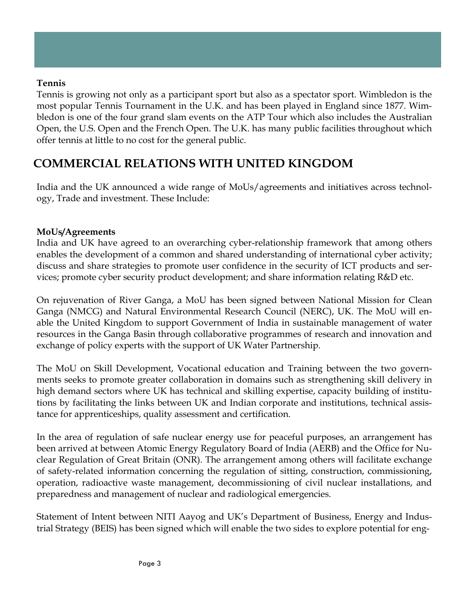#### **Tennis**

Tennis is growing not only as a participant sport but also as a spectator sport. Wimbledon is the most popular Tennis Tournament in the U.K. and has been played in England since 1877. Wimbledon is one of the four grand slam events on the ATP Tour which also includes the Australian Open, the U.S. Open and the French Open. The U.K. has many public facilities throughout which offer tennis at little to no cost for the general public.

## **COMMERCIAL RELATIONS WITH UNITED KINGDOM**

India and the UK announced a wide range of MoUs/agreements and initiatives across technology, Trade and investment. These Include:

#### **MoUs/Agreements**

India and UK have agreed to an overarching cyber-relationship framework that among others enables the development of a common and shared understanding of international cyber activity; discuss and share strategies to promote user confidence in the security of ICT products and services; promote cyber security product development; and share information relating R&D etc.

On rejuvenation of River Ganga, a MoU has been signed between National Mission for Clean Ganga (NMCG) and Natural Environmental Research Council (NERC), UK. The MoU will enable the United Kingdom to support Government of India in sustainable management of water resources in the Ganga Basin through collaborative programmes of research and innovation and exchange of policy experts with the support of UK Water Partnership.

The MoU on Skill Development, Vocational education and Training between the two governments seeks to promote greater collaboration in domains such as strengthening skill delivery in high demand sectors where UK has technical and skilling expertise, capacity building of institutions by facilitating the links between UK and Indian corporate and institutions, technical assistance for apprenticeships, quality assessment and certification.

In the area of regulation of safe nuclear energy use for peaceful purposes, an arrangement has been arrived at between Atomic Energy Regulatory Board of India (AERB) and the Office for Nuclear Regulation of Great Britain (ONR). The arrangement among others will facilitate exchange of safety-related information concerning the regulation of sitting, construction, commissioning, operation, radioactive waste management, decommissioning of civil nuclear installations, and preparedness and management of nuclear and radiological emergencies.

Statement of Intent between NITI Aayog and UK's Department of Business, Energy and Industrial Strategy (BEIS) has been signed which will enable the two sides to explore potential for eng-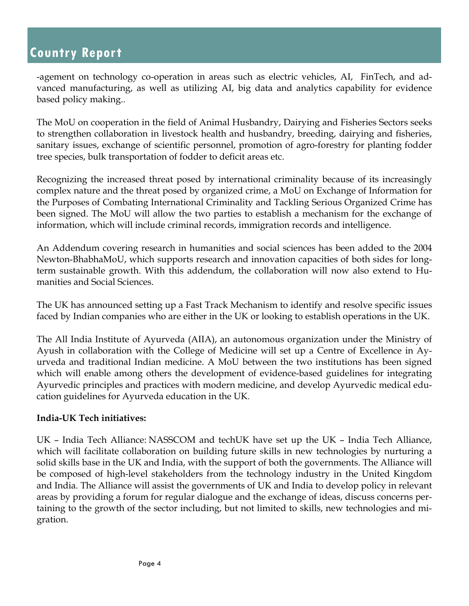-agement on technology co-operation in areas such as electric vehicles, AI, FinTech, and advanced manufacturing, as well as utilizing AI, big data and analytics capability for evidence based policy making..

The MoU on cooperation in the field of Animal Husbandry, Dairying and Fisheries Sectors seeks to strengthen collaboration in livestock health and husbandry, breeding, dairying and fisheries, sanitary issues, exchange of scientific personnel, promotion of agro-forestry for planting fodder tree species, bulk transportation of fodder to deficit areas etc.

Recognizing the increased threat posed by international criminality because of its increasingly complex nature and the threat posed by organized crime, a MoU on Exchange of Information for the Purposes of Combating International Criminality and Tackling Serious Organized Crime has been signed. The MoU will allow the two parties to establish a mechanism for the exchange of information, which will include criminal records, immigration records and intelligence.

An Addendum covering research in humanities and social sciences has been added to the 2004 Newton-BhabhaMoU, which supports research and innovation capacities of both sides for longterm sustainable growth. With this addendum, the collaboration will now also extend to Humanities and Social Sciences.

The UK has announced setting up a Fast Track Mechanism to identify and resolve specific issues faced by Indian companies who are either in the UK or looking to establish operations in the UK.

The All India Institute of Ayurveda (AIIA), an autonomous organization under the Ministry of Ayush in collaboration with the College of Medicine will set up a Centre of Excellence in Ayurveda and traditional Indian medicine. A MoU between the two institutions has been signed which will enable among others the development of evidence-based guidelines for integrating Ayurvedic principles and practices with modern medicine, and develop Ayurvedic medical education guidelines for Ayurveda education in the UK.

#### **India-UK Tech initiatives:**

UK – India Tech Alliance: NASSCOM and techUK have set up the UK – India Tech Alliance, which will facilitate collaboration on building future skills in new technologies by nurturing a solid skills base in the UK and India, with the support of both the governments. The Alliance will be composed of high-level stakeholders from the technology industry in the United Kingdom and India. The Alliance will assist the governments of UK and India to develop policy in relevant areas by providing a forum for regular dialogue and the exchange of ideas, discuss concerns pertaining to the growth of the sector including, but not limited to skills, new technologies and migration.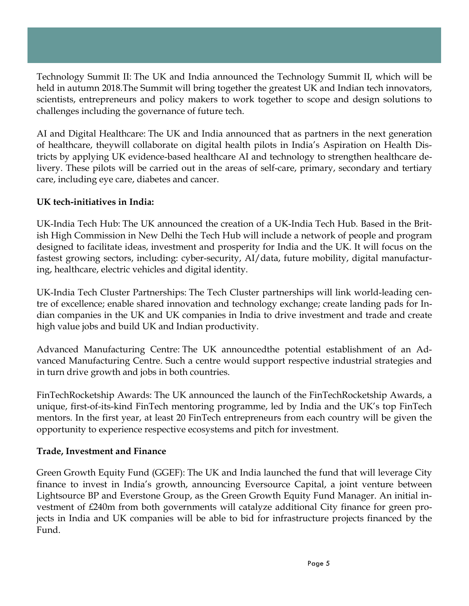Technology Summit II: The UK and India announced the Technology Summit II, which will be held in autumn 2018.The Summit will bring together the greatest UK and Indian tech innovators, scientists, entrepreneurs and policy makers to work together to scope and design solutions to challenges including the governance of future tech.

AI and Digital Healthcare: The UK and India announced that as partners in the next generation of healthcare, theywill collaborate on digital health pilots in India's Aspiration on Health Districts by applying UK evidence-based healthcare AI and technology to strengthen healthcare delivery. These pilots will be carried out in the areas of self-care, primary, secondary and tertiary care, including eye care, diabetes and cancer.

#### **UK tech-initiatives in India:**

UK-India Tech Hub: The UK announced the creation of a UK-India Tech Hub. Based in the British High Commission in New Delhi the Tech Hub will include a network of people and program designed to facilitate ideas, investment and prosperity for India and the UK. It will focus on the fastest growing sectors, including: cyber-security, AI/data, future mobility, digital manufacturing, healthcare, electric vehicles and digital identity.

UK-India Tech Cluster Partnerships: The Tech Cluster partnerships will link world-leading centre of excellence; enable shared innovation and technology exchange; create landing pads for Indian companies in the UK and UK companies in India to drive investment and trade and create high value jobs and build UK and Indian productivity.

Advanced Manufacturing Centre: The UK announcedthe potential establishment of an Advanced Manufacturing Centre. Such a centre would support respective industrial strategies and in turn drive growth and jobs in both countries.

FinTechRocketship Awards: The UK announced the launch of the FinTechRocketship Awards, a unique, first-of-its-kind FinTech mentoring programme, led by India and the UK's top FinTech mentors. In the first year, at least 20 FinTech entrepreneurs from each country will be given the opportunity to experience respective ecosystems and pitch for investment.

#### **Trade, Investment and Finance**

Green Growth Equity Fund (GGEF): The UK and India launched the fund that will leverage City finance to invest in India's growth, announcing Eversource Capital, a joint venture between Lightsource BP and Everstone Group, as the Green Growth Equity Fund Manager. An initial investment of £240m from both governments will catalyze additional City finance for green projects in India and UK companies will be able to bid for infrastructure projects financed by the Fund.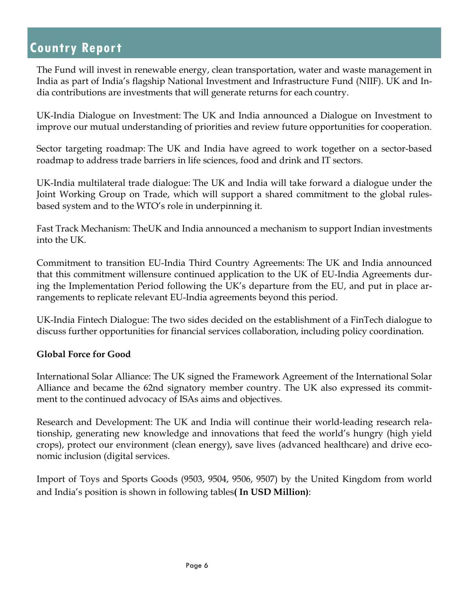The Fund will invest in renewable energy, clean transportation, water and waste management in India as part of India's flagship National Investment and Infrastructure Fund (NIIF). UK and India contributions are investments that will generate returns for each country.

UK-India Dialogue on Investment: The UK and India announced a Dialogue on Investment to improve our mutual understanding of priorities and review future opportunities for cooperation.

Sector targeting roadmap: The UK and India have agreed to work together on a sector-based roadmap to address trade barriers in life sciences, food and drink and IT sectors.

UK-India multilateral trade dialogue: The UK and India will take forward a dialogue under the Joint Working Group on Trade, which will support a shared commitment to the global rulesbased system and to the WTO's role in underpinning it.

Fast Track Mechanism: TheUK and India announced a mechanism to support Indian investments into the UK.

Commitment to transition EU-India Third Country Agreements: The UK and India announced that this commitment willensure continued application to the UK of EU-India Agreements during the Implementation Period following the UK's departure from the EU, and put in place arrangements to replicate relevant EU-India agreements beyond this period.

UK-India Fintech Dialogue: The two sides decided on the establishment of a FinTech dialogue to discuss further opportunities for financial services collaboration, including policy coordination.

#### **Global Force for Good**

International Solar Alliance: The UK signed the Framework Agreement of the International Solar Alliance and became the 62nd signatory member country. The UK also expressed its commitment to the continued advocacy of ISAs aims and objectives.

Research and Development: The UK and India will continue their world-leading research relationship, generating new knowledge and innovations that feed the world's hungry (high yield crops), protect our environment (clean energy), save lives (advanced healthcare) and drive economic inclusion (digital services.

Import of Toys and Sports Goods (9503, 9504, 9506, 9507) by the United Kingdom from world and India's position is shown in following tables**( In USD Million)**: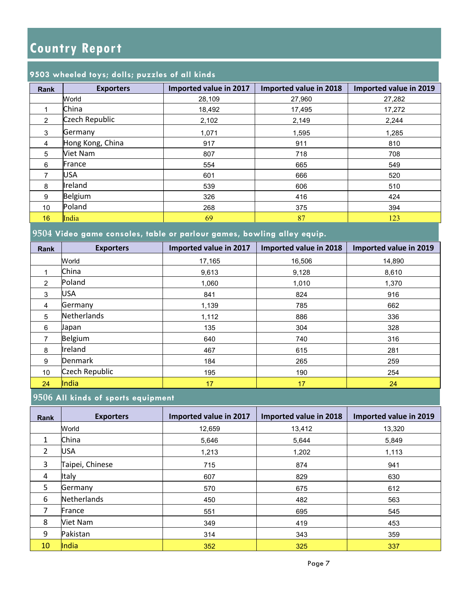#### **9503 wheeled toys; dolls; puzzles of all kinds**

| <b>Rank</b>    | <b>Exporters</b> | Imported value in 2017 | Imported value in 2018 | Imported value in 2019 |
|----------------|------------------|------------------------|------------------------|------------------------|
|                | World            | 28,109                 | 27,960                 | 27,282                 |
|                | China            | 18,492                 | 17,495                 | 17,272                 |
| $\overline{2}$ | Czech Republic   | 2,102                  | 2,149                  | 2,244                  |
| 3              | Germany          | 1,071                  | 1,595                  | 1,285                  |
| $\overline{4}$ | Hong Kong, China | 917                    | 911                    | 810                    |
| 5              | <b>Viet Nam</b>  | 807                    | 718                    | 708                    |
| 6              | France           | 554                    | 665                    | 549                    |
|                | <b>USA</b>       | 601                    | 666                    | 520                    |
| 8              | Ireland          | 539                    | 606                    | 510                    |
| 9              | Belgium          | 326                    | 416                    | 424                    |
| 10             | Poland           | 268                    | 375                    | 394                    |
| 16             | India            | 69                     | 87                     | 123                    |

### **9504 Video game consoles, table or parlour games, bowling alley equip.**

| <b>Rank</b> | <b>Exporters</b> | Imported value in 2017 | Imported value in 2018 | Imported value in 2019 |
|-------------|------------------|------------------------|------------------------|------------------------|
|             | World            | 17,165                 | 16,506                 | 14.890                 |
|             | China            | 9,613                  | 9,128                  | 8,610                  |
| 2           | Poland           | 1,060                  | 1,010                  | 1,370                  |
| 3           | <b>USA</b>       | 841                    | 824                    | 916                    |
| 4           | Germany          | 1,139                  | 785                    | 662                    |
| 5           | Netherlands      | 1,112                  | 886                    | 336                    |
| 6           | Japan            | 135                    | 304                    | 328                    |
|             | Belgium          | 640                    | 740                    | 316                    |
| 8           | Ireland          | 467                    | 615                    | 281                    |
| 9           | <b>Denmark</b>   | 184                    | 265                    | 259                    |
| 10          | Czech Republic   | 195                    | 190                    | 254                    |
| 24          | India            | 17                     | 17                     | 24                     |

#### **9506 All kinds of sports equipment**

| <b>Rank</b>    | <b>Exporters</b> | Imported value in 2017 | Imported value in 2018 | Imported value in 2019 |
|----------------|------------------|------------------------|------------------------|------------------------|
|                | World            | 12,659                 | 13,412                 | 13,320                 |
| $\mathbf{1}$   | China            | 5,646                  | 5,644                  | 5,849                  |
| $\overline{2}$ | <b>USA</b>       | 1,213                  | 1,202                  | 1,113                  |
| 3              | Taipei, Chinese  | 715                    | 874                    | 941                    |
| 4              | Italy            | 607                    | 829                    | 630                    |
| 5              | Germany          | 570                    | 675                    | 612                    |
| 6              | Netherlands      | 450                    | 482                    | 563                    |
| 7              | France           | 551                    | 695                    | 545                    |
| 8              | Viet Nam         | 349                    | 419                    | 453                    |
| 9              | Pakistan         | 314                    | 343                    | 359                    |
| 10             | India            | 352                    | 325                    | 337                    |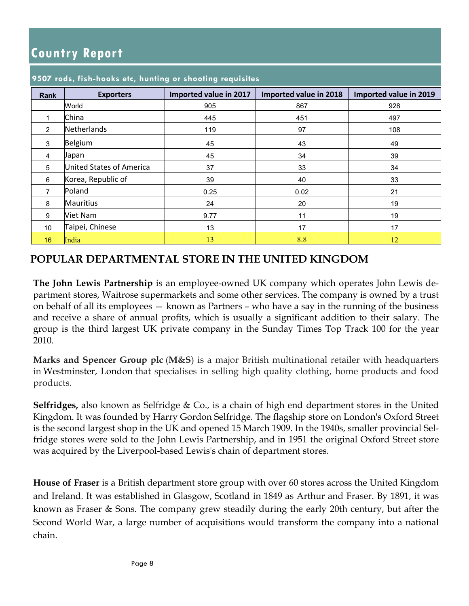| <b>Rank</b>    | <b>Exporters</b>         | Imported value in 2017 | Imported value in 2018 | Imported value in 2019 |
|----------------|--------------------------|------------------------|------------------------|------------------------|
|                | World                    | 905                    | 867                    | 928                    |
|                | China                    | 445                    | 451                    | 497                    |
| $\overline{2}$ | <b>Netherlands</b>       | 119                    | 97                     | 108                    |
| 3              | Belgium                  | 45                     | 43                     | 49                     |
| 4              | Japan                    | 45                     | 34                     | 39                     |
| 5              | United States of America | 37                     | 33                     | 34                     |
| 6              | Korea, Republic of       | 39                     | 40                     | 33                     |
| $\overline{7}$ | Poland                   | 0.25                   | 0.02                   | 21                     |
| 8              | <b>Mauritius</b>         | 24                     | 20                     | 19                     |
| 9              | <b>Viet Nam</b>          | 9.77                   | 11                     | 19                     |
| 10             | Taipei, Chinese          | 13                     | 17                     | 17                     |
| 16             | India                    | 13                     | 8.8                    | 12                     |

#### **9507 rods, fish-hooks etc, hunting or shooting requisites**

#### **POPULAR DEPARTMENTAL STORE IN THE UNITED KINGDOM**

**The John Lewis Partnership** is an employee-owned UK company which operates John Lewis department stores, Waitrose supermarkets and some other services. The company is owned by a trust on behalf of all its employees — known as Partners – who have a say in the running of the business and receive a share of annual profits, which is usually a significant addition to their salary. The group is the third largest UK private company in the Sunday Times Top Track 100 for the year 2010.

**Marks and Spencer Group plc** (**M&S**) is a major British multinational retailer with headquarters in Westminster, London that specialises in selling high quality clothing, home products and food products.

**Selfridges,** also known as Selfridge & Co., is a chain of high end department stores in the United Kingdom. It was founded by Harry Gordon Selfridge. The flagship store on London's Oxford Street is the second largest shop in the UK and opened 15 March 1909. In the 1940s, smaller provincial Selfridge stores were sold to the John Lewis Partnership, and in 1951 the original Oxford Street store was acquired by the Liverpool-based Lewis's chain of department stores.

**House of Fraser** is a British department store group with over 60 stores across the United Kingdom and Ireland. It was established in Glasgow, Scotland in 1849 as Arthur and Fraser. By 1891, it was known as Fraser & Sons. The company grew steadily during the early 20th century, but after the Second World War, a large number of acquisitions would transform the company into a national chain.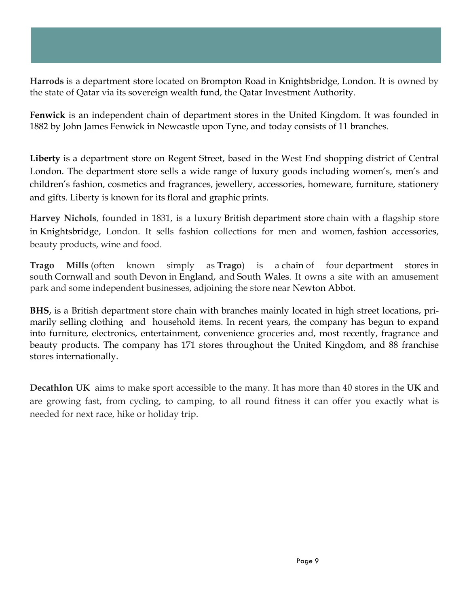**Harrods** is a department store located on Brompton Road in Knightsbridge, London. It is owned by the state of Qatar via its sovereign wealth fund, the Qatar Investment Authority.

**Fenwick** is an independent chain of department stores in the United Kingdom. It was founded in 1882 by John James Fenwick in Newcastle upon Tyne, and today consists of 11 branches.

**Liberty** is a department store on Regent Street, based in the West End shopping district of Central London. The department store sells a wide range of luxury goods including women's, men's and children's fashion, cosmetics and fragrances, jewellery, accessories, homeware, furniture, stationery and gifts. Liberty is known for its floral and graphic prints.

**Harvey Nichols**, founded in 1831, is a luxury British department store chain with a flagship store in Knightsbridge, London. It sells fashion collections for men and women, fashion accessories, beauty products, wine and food.

**Trago Mills** (often known simply as **Trago**) is a chain of four department stores in south Cornwall and south Devon in England, and South Wales. It owns a site with an amusement park and some independent businesses, adjoining the store near Newton Abbot.

**BHS**, is a British department store chain with branches mainly located in high street locations, primarily selling clothing and household items. In recent years, the company has begun to expand into furniture, electronics, entertainment, convenience groceries and, most recently, fragrance and beauty products. The company has 171 stores throughout the United Kingdom, and 88 franchise stores internationally.

**Decathlon UK** aims to make sport accessible to the many. It has more than 40 stores in the **UK** and are growing fast, from cycling, to camping, to all round fitness it can offer you exactly what is needed for next race, hike or holiday trip.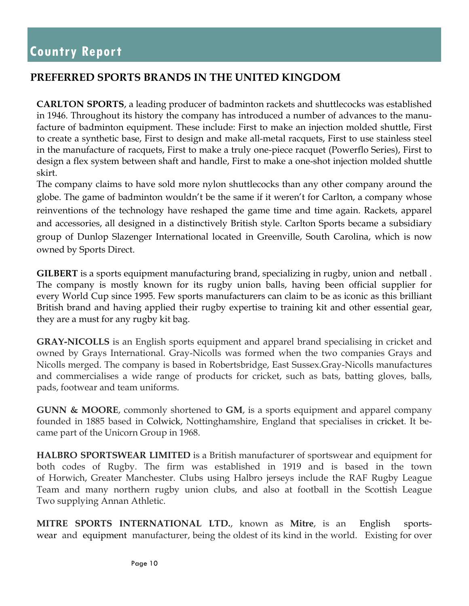## **PREFERRED SPORTS BRANDS IN THE UNITED KINGDOM**

**CARLTON SPORTS**, a leading producer of badminton rackets and shuttlecocks was established in 1946. Throughout its history the company has introduced a number of advances to the manufacture of badminton equipment. These include: First to make an injection molded shuttle, First to create a synthetic base, First to design and make all-metal racquets, First to use stainless steel in the manufacture of racquets, First to make a truly one-piece racquet (Powerflo Series), First to design a flex system between shaft and handle, First to make a one-shot injection molded shuttle skirt.

The company claims to have sold more nylon shuttlecocks than any other company around the globe. The game of badminton wouldn't be the same if it weren't for Carlton, a company whose reinventions of the technology have reshaped the game time and time again. Rackets, apparel and accessories, all designed in a distinctively British style. Carlton Sports became a subsidiary group of Dunlop Slazenger International located in Greenville, South Carolina, which is now owned by Sports Direct.

**GILBERT** is a sports equipment manufacturing brand, specializing in rugby, union and netball . The company is mostly known for its rugby union balls, having been official supplier for every World Cup since 1995. Few sports manufacturers can claim to be as iconic as this brilliant British brand and having applied their rugby expertise to training kit and other essential gear, they are a must for any rugby kit bag.

**GRAY-NICOLLS** is an English sports equipment and apparel brand specialising in cricket and owned by Grays International. Gray-Nicolls was formed when the two companies Grays and Nicolls merged. The company is based in Robertsbridge, East Sussex.Gray-Nicolls manufactures and commercialises a wide range of products for cricket, such as bats, batting gloves, balls, pads, footwear and team uniforms.

**GUNN & MOORE**, commonly shortened to **GM**, is a sports equipment and apparel company founded in 1885 based in Colwick, Nottinghamshire, England that specialises in cricket. It became part of the Unicorn Group in 1968.

**HALBRO SPORTSWEAR LIMITED** is a British manufacturer of sportswear and equipment for both codes of Rugby. The firm was established in 1919 and is based in the town of Horwich, Greater Manchester. Clubs using Halbro jerseys include the RAF Rugby League Team and many northern rugby union clubs, and also at football in the Scottish League Two supplying Annan Athletic.

**MITRE SPORTS INTERNATIONAL LTD.**, known as **Mitre**, is an English sportswear and equipment manufacturer, being the oldest of its kind in the world. Existing for over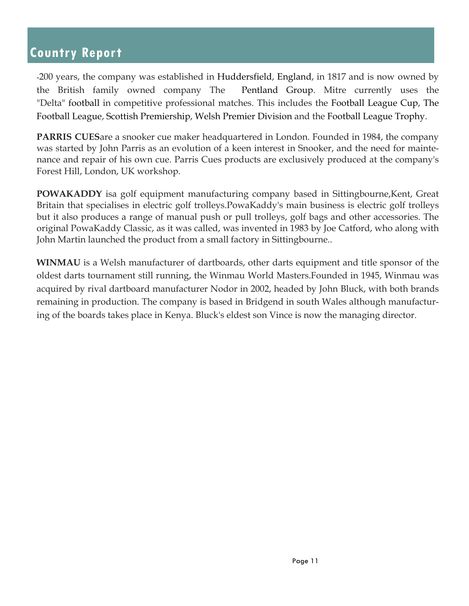-200 years, the company was established in Huddersfield, England, in 1817 and is now owned by the British family owned company The Pentland Group. Mitre currently uses the "Delta" football in competitive professional matches. This includes the Football League Cup, The Football League, Scottish Premiership, Welsh Premier Division and the Football League Trophy.

**PARRIS CUES**are a snooker cue maker headquartered in London. Founded in 1984, the company was started by John Parris as an evolution of a keen interest in Snooker, and the need for maintenance and repair of his own cue. Parris Cues products are exclusively produced at the company's Forest Hill, London, UK workshop.

**POWAKADDY** isa golf equipment manufacturing company based in Sittingbourne, Kent, Great Britain that specialises in electric golf trolleys.PowaKaddy's main business is electric golf trolleys but it also produces a range of manual push or pull trolleys, golf bags and other accessories. The original PowaKaddy Classic, as it was called, was invented in 1983 by Joe Catford, who along with John Martin launched the product from a small factory in Sittingbourne..

**WINMAU** is a Welsh manufacturer of dartboards, other darts equipment and title sponsor of the oldest darts tournament still running, the Winmau World Masters.Founded in 1945, Winmau was acquired by rival dartboard manufacturer Nodor in 2002, headed by John Bluck, with both brands remaining in production. The company is based in Bridgend in south Wales although manufacturing of the boards takes place in Kenya. Bluck's eldest son Vince is now the managing director.